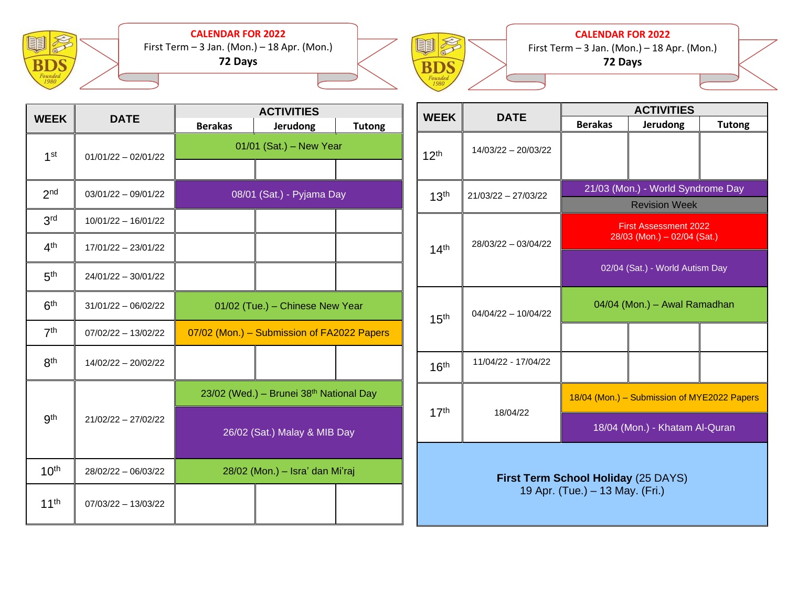

**CALENDAR FOR 2022** First Term – 3 Jan. (Mon.) – 18 Apr. (Mon.) **72 Days**



**CALENDAR FOR 2022**

First Term  $-3$  Jan. (Mon.)  $-18$  Apr. (Mon.) **72 Days**

| <b>WEEK</b>      | <b>DATE</b>           | <b>ACTIVITIES</b>                          |                                         |               |
|------------------|-----------------------|--------------------------------------------|-----------------------------------------|---------------|
|                  |                       | <b>Berakas</b>                             | <b>Jerudong</b>                         | <b>Tutong</b> |
| 1 <sup>st</sup>  | $01/01/22 - 02/01/22$ | 01/01 (Sat.) - New Year                    |                                         |               |
|                  |                       |                                            |                                         |               |
| 2 <sub>nd</sub>  | $03/01/22 - 09/01/22$ | 08/01 (Sat.) - Pyjama Day                  |                                         |               |
| 3 <sup>rd</sup>  | $10/01/22 - 16/01/22$ |                                            |                                         |               |
| 4 <sup>th</sup>  | 17/01/22 - 23/01/22   |                                            |                                         |               |
| 5 <sup>th</sup>  | $24/01/22 - 30/01/22$ |                                            |                                         |               |
| 6 <sup>th</sup>  | $31/01/22 - 06/02/22$ | 01/02 (Tue.) - Chinese New Year            |                                         |               |
| 7 <sup>th</sup>  | $07/02/22 - 13/02/22$ | 07/02 (Mon.) - Submission of FA2022 Papers |                                         |               |
| 8 <sup>th</sup>  | 14/02/22 - 20/02/22   |                                            |                                         |               |
|                  | 21/02/22 - 27/02/22   |                                            | 23/02 (Wed.) - Brunei 38th National Day |               |
| <b>gth</b>       |                       | 26/02 (Sat.) Malay & MIB Day               |                                         |               |
| 10 <sup>th</sup> | 28/02/22 - 06/03/22   | 28/02 (Mon.) - Isra' dan Mi'raj            |                                         |               |
| $11^{th}$        | $07/03/22 - 13/03/22$ |                                            |                                         |               |

| <b>WEEK</b>                                                            | <b>DATE</b>           | <b>ACTIVITIES</b>                                           |                 |               |
|------------------------------------------------------------------------|-----------------------|-------------------------------------------------------------|-----------------|---------------|
|                                                                        |                       | <b>Berakas</b>                                              | <b>Jerudong</b> | <b>Tutong</b> |
| 12 <sup>th</sup>                                                       | 14/03/22 - 20/03/22   |                                                             |                 |               |
| 13 <sup>th</sup>                                                       | 21/03/22 - 27/03/22   | 21/03 (Mon.) - World Syndrome Day<br><b>Revision Week</b>   |                 |               |
|                                                                        |                       |                                                             |                 |               |
| 14 <sup>th</sup>                                                       | 28/03/22 - 03/04/22   | <b>First Assessment 2022</b><br>28/03 (Mon.) - 02/04 (Sat.) |                 |               |
|                                                                        |                       | 02/04 (Sat.) - World Autism Day                             |                 |               |
| 15 <sup>th</sup>                                                       | $04/04/22 - 10/04/22$ | 04/04 (Mon.) - Awal Ramadhan                                |                 |               |
|                                                                        |                       |                                                             |                 |               |
| 16 <sup>th</sup>                                                       | 11/04/22 - 17/04/22   |                                                             |                 |               |
| 17 <sup>th</sup>                                                       | 18/04/22              | 18/04 (Mon.) - Submission of MYE2022 Papers                 |                 |               |
|                                                                        |                       | 18/04 (Mon.) - Khatam Al-Quran                              |                 |               |
| First Term School Holiday (25 DAYS)<br>19 Apr. (Tue.) - 13 May. (Fri.) |                       |                                                             |                 |               |